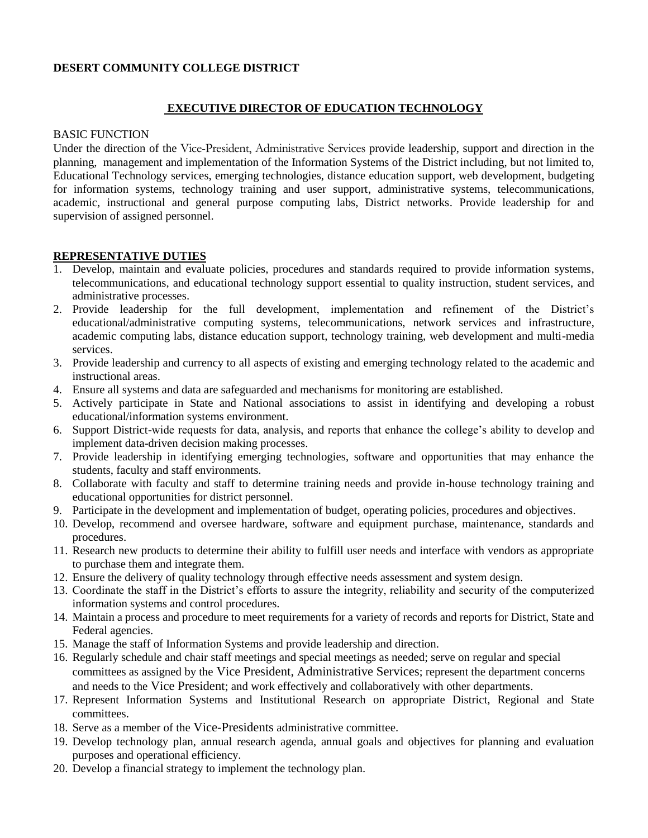# **DESERT COMMUNITY COLLEGE DISTRICT**

# **EXECUTIVE DIRECTOR OF EDUCATION TECHNOLOGY**

#### BASIC FUNCTION

Under the direction of the Vice-President, Administrative Services provide leadership, support and direction in the planning, management and implementation of the Information Systems of the District including, but not limited to, Educational Technology services, emerging technologies, distance education support, web development, budgeting for information systems, technology training and user support, administrative systems, telecommunications, academic, instructional and general purpose computing labs, District networks. Provide leadership for and supervision of assigned personnel.

### **REPRESENTATIVE DUTIES**

- 1. Develop, maintain and evaluate policies, procedures and standards required to provide information systems, telecommunications, and educational technology support essential to quality instruction, student services, and administrative processes.
- 2. Provide leadership for the full development, implementation and refinement of the District's educational/administrative computing systems, telecommunications, network services and infrastructure, academic computing labs, distance education support, technology training, web development and multi-media services.
- 3. Provide leadership and currency to all aspects of existing and emerging technology related to the academic and instructional areas.
- 4. Ensure all systems and data are safeguarded and mechanisms for monitoring are established.
- 5. Actively participate in State and National associations to assist in identifying and developing a robust educational/information systems environment.
- 6. Support District-wide requests for data, analysis, and reports that enhance the college's ability to develop and implement data-driven decision making processes.
- 7. Provide leadership in identifying emerging technologies, software and opportunities that may enhance the students, faculty and staff environments.
- 8. Collaborate with faculty and staff to determine training needs and provide in-house technology training and educational opportunities for district personnel.
- 9. Participate in the development and implementation of budget, operating policies, procedures and objectives.
- 10. Develop, recommend and oversee hardware, software and equipment purchase, maintenance, standards and procedures.
- 11. Research new products to determine their ability to fulfill user needs and interface with vendors as appropriate to purchase them and integrate them.
- 12. Ensure the delivery of quality technology through effective needs assessment and system design.
- 13. Coordinate the staff in the District's efforts to assure the integrity, reliability and security of the computerized information systems and control procedures.
- 14. Maintain a process and procedure to meet requirements for a variety of records and reports for District, State and Federal agencies.
- 15. Manage the staff of Information Systems and provide leadership and direction.
- 16. Regularly schedule and chair staff meetings and special meetings as needed; serve on regular and special committees as assigned by the Vice President, Administrative Services; represent the department concerns and needs to the Vice President; and work effectively and collaboratively with other departments.
- 17. Represent Information Systems and Institutional Research on appropriate District, Regional and State committees.
- 18. Serve as a member of the Vice-Presidents administrative committee.
- 19. Develop technology plan, annual research agenda, annual goals and objectives for planning and evaluation purposes and operational efficiency.
- 20. Develop a financial strategy to implement the technology plan.